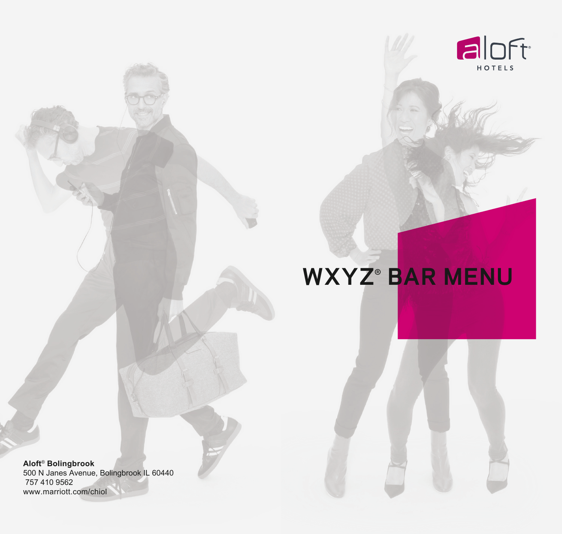

## **WXYZ**®  **BAR MENU**

**Aloft**®  **Bolingbrook**  500 N Janes Avenue, Bolingbrook IL 60440 757 410 9562 www.marriott.com/chiol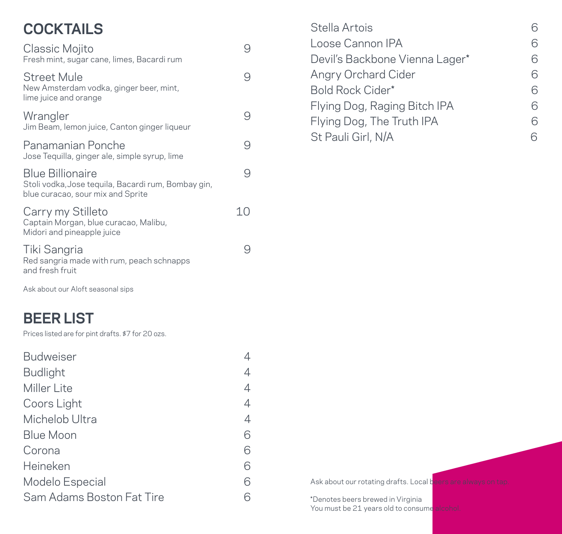| Classic Mojito<br>Fresh mint, sugar cane, limes, Bacardi rum                                                        |    |
|---------------------------------------------------------------------------------------------------------------------|----|
| Street Mule<br>New Amsterdam vodka, ginger beer, mint,<br>lime juice and orange                                     |    |
| Wrangler<br>Jim Beam, lemon juice, Canton ginger liqueur                                                            | 9  |
| Panamanian Ponche<br>Jose Tequilla, ginger ale, simple syrup, lime                                                  | 9  |
| <b>Blue Billionaire</b><br>Stoli vodka, Jose tequila, Bacardi rum, Bombay gin,<br>blue curacao, sour mix and Sprite | q  |
| Carry my Stilleto<br>Captain Morgan, blue curacao, Malibu,<br>Midori and pineapple juice                            | 10 |
| Tiki Sangria<br>Red sangria made with rum, peach schnapps<br>and fresh fruit                                        |    |

Ask about our Aloft seasonal sips

## **BEER LIST**

**BEER LIST**  Prices listed are for pint drafts. \$7 for 20 ozs.

| <b>Budweiser</b>          |   |
|---------------------------|---|
| <b>Budlight</b>           |   |
| Miller Lite               | 4 |
| Coors Light               | 4 |
| Michelob Ultra            | 4 |
| <b>Blue Moon</b>          | ട |
| Corona                    | ട |
| Heineken                  | ട |
| Modelo Especial           |   |
| Sam Adams Boston Fat Tire |   |

| Stella Artois                  |  |
|--------------------------------|--|
| Loose Cannon IPA               |  |
| Devil's Backbone Vienna Lager* |  |
| Angry Orchard Cider            |  |
| Bold Rock Cider*               |  |
| Flying Dog, Raging Bitch IPA   |  |
| Flying Dog, The Truth IPA      |  |
| St Pauli Girl, N/A             |  |

Ask about our rotating drafts. Local beers are always on tap.

\*Denotes beers brewed in Virginia You must be 21 years old to consume alcohol.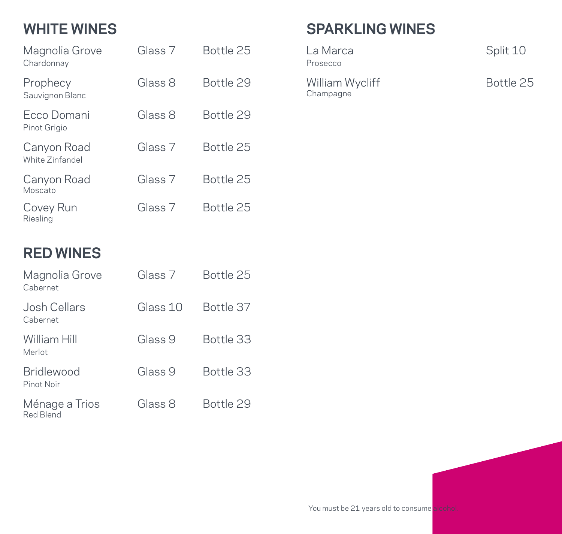| Magnolia Grove<br>Chardonnay   | Glass 7            | Bottle 25 |
|--------------------------------|--------------------|-----------|
| Prophecy<br>Sauvignon Blanc    | Glass 8            | Bottle 29 |
| Ecco Domani<br>Pinot Grigio    | Glass 8            | Bottle 29 |
| Canyon Road<br>White Zinfandel | Glass 7            | Bottle 25 |
| Canyon Road<br>Moscato         | Glass <sub>7</sub> | Bottle 25 |
| Covey Run<br>Riesling          | Glass 7            | Bottle 25 |

# **SPARKLING WINES**

Prosecco

William Wycliff Fig. 1996 - Bottle 25 Champagne

Split 10

### **RED WINES**

| Magnolia Grove<br>Cabernet      | Glass 7  | Bottle 25 |
|---------------------------------|----------|-----------|
| Josh Cellars<br>Cabernet        | Glass 10 | Bottle 37 |
| William Hill<br>Merlot          | Glass 9  | Bottle 33 |
| <b>Bridlewood</b><br>Pinot Noir | Glass 9  | Bottle 33 |
| Ménage a Trios<br>Red Blend     | Glass 8  | Bottle 29 |